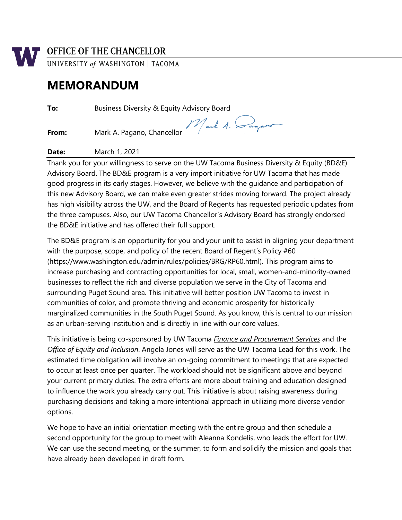

## **MEMORANDUM**

**To:** Business Diversity & Equity Advisory Board

**From:** Mark A. Pagano, Chancellor

Mark A. Dagam

**Date:** March 1, 2021

Thank you for your willingness to serve on the UW Tacoma Business Diversity & Equity (BD&E) Advisory Board. The BD&E program is a very import initiative for UW Tacoma that has made good progress in its early stages. However, we believe with the guidance and participation of this new Advisory Board, we can make even greater strides moving forward. The project already has high visibility across the UW, and the Board of Regents has requested periodic updates from the three campuses. Also, our UW Tacoma Chancellor's Advisory Board has strongly endorsed the BD&E initiative and has offered their full support.

The BD&E program is an opportunity for you and your unit to assist in aligning your department with the purpose, scope, and policy of the recent Board of Regent's Policy #60 (https://www.washington.edu/admin/rules/policies/BRG/RP60.html). This program aims to increase purchasing and contracting opportunities for local, small, women-and-minority-owned businesses to reflect the rich and diverse population we serve in the City of Tacoma and surrounding Puget Sound area. This initiative will better position UW Tacoma to invest in communities of color, and promote thriving and economic prosperity for historically marginalized communities in the South Puget Sound. As you know, this is central to our mission as an urban-serving institution and is directly in line with our core values.

This initiative is being co-sponsored by UW Tacoma *Finance and Procurement Services* and the *Office of Equity and Inclusion*. Angela Jones will serve as the UW Tacoma Lead for this work. The estimated time obligation will involve an on-going commitment to meetings that are expected to occur at least once per quarter. The workload should not be significant above and beyond your current primary duties. The extra efforts are more about training and education designed to influence the work you already carry out. This initiative is about raising awareness during purchasing decisions and taking a more intentional approach in utilizing more diverse vendor options.

We hope to have an initial orientation meeting with the entire group and then schedule a second opportunity for the group to meet with Aleanna Kondelis, who leads the effort for UW. We can use the second meeting, or the summer, to form and solidify the mission and goals that have already been developed in draft form.